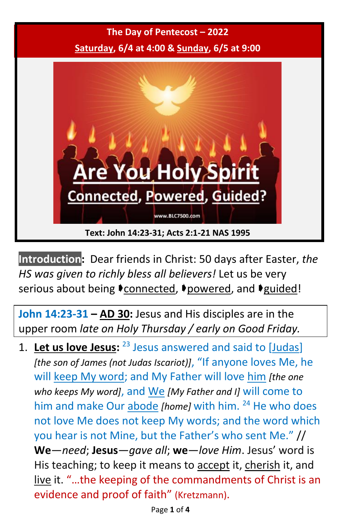## **The Day of Pentecost – 2022 Saturday, 6/4 at 4:00 & Sunday, 6/5 at 9:00 Are You Holy Spir Connected, Powered, Guided?** www.BLC7500.com **Text: John 14:23-31; Acts 2:1-21 NAS 1995**

**Introduction:** Dear friends in Christ: 50 days after Easter, *the HS was given to richly bless all believers!* Let us be very serious about being  $\bullet$  connected,  $\bullet$  powered, and  $\bullet$  guided!

**John 14:23-31 – AD 30:** Jesus and His disciples are in the upper room *late on Holy Thursday / early on Good Friday.*

1. **Let us love Jesus:** <sup>23</sup> Jesus answered and said to [Judas] *[the son of James (not Judas Iscariot)]*, "If anyone loves Me, he will keep My word; and My Father will love him *[the one who keeps My word]*, and We *[My Father and I]* will come to him and make Our abode [home] with him. <sup>24</sup> He who does not love Me does not keep My words; and the word which you hear is not Mine, but the Father's who sent Me." // **We**—*need*; **Jesus**—*gave all*; **we**—*love Him*. Jesus' word is His teaching; to keep it means to accept it, cherish it, and live it. "…the keeping of the commandments of Christ is an evidence and proof of faith" (Kretzmann).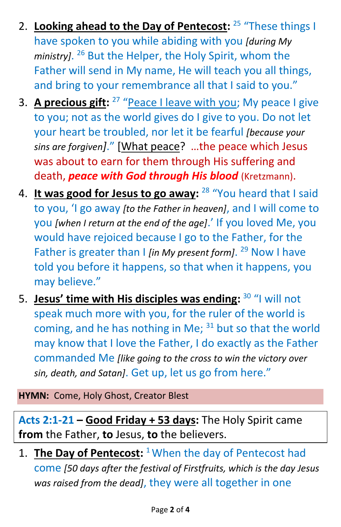- 2. **Looking ahead to the Day of Pentecost:** <sup>25</sup> "These things I have spoken to you while abiding with you *[during My ministry]*. <sup>26</sup> But the Helper, the Holy Spirit, whom the Father will send in My name, He will teach you all things, and bring to your remembrance all that I said to you."
- 3. **A precious gift:** <sup>27</sup> "Peace I leave with you; My peace I give to you; not as the world gives do I give to you. Do not let your heart be troubled, nor let it be fearful *[because your sins are forgiven]*." [What peace? …the peace which Jesus was about to earn for them through His suffering and death, *peace with God through His blood* (Kretzmann).
- 4. **It was good for Jesus to go away:** <sup>28</sup> "You heard that I said to you, 'I go away *[to the Father in heaven]*, and I will come to you *[when I return at the end of the age]*.' If you loved Me, you would have rejoiced because I go to the Father, for the Father is greater than I *[in My present form]*.<sup>29</sup> Now I have told you before it happens, so that when it happens, you may believe."
- 5. **Jesus' time with His disciples was ending:** <sup>30</sup> "I will not speak much more with you, for the ruler of the world is coming, and he has nothing in Me;  $31$  but so that the world may know that I love the Father, I do exactly as the Father commanded Me *[like going to the cross to win the victory over sin, death, and Satan]*. Get up, let us go from here."

**HYMN:** Come, Holy Ghost, Creator Blest

**Acts 2:1-21 – Good Friday + 53 days:** The Holy Spirit came **from** the Father, **to** Jesus, **to** the believers.

1. The Day of Pentecost: <sup>1</sup> When the day of Pentecost had come *[50 days after the festival of Firstfruits, which is the day Jesus was raised from the dead]*, they were all together in one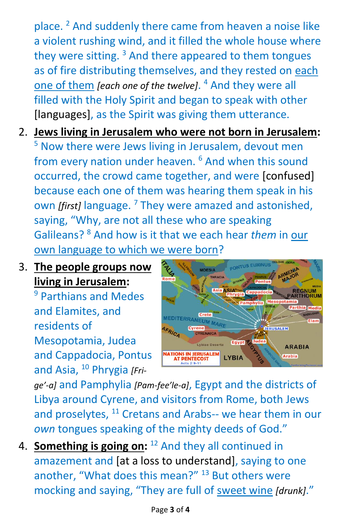place. <sup>2</sup> And suddenly there came from heaven a noise like a violent rushing wind, and it filled the whole house where they were sitting.  $3$  And there appeared to them tongues as of fire distributing themselves, and they rested on each one of them *[each one of the twelve]*. <sup>4</sup> And they were all filled with the Holy Spirit and began to speak with other [languages], as the Spirit was giving them utterance.

2. **Jews living in Jerusalem who were not born in Jerusalem:** <sup>5</sup> Now there were Jews living in Jerusalem, devout men from every nation under heaven.<sup>6</sup> And when this sound occurred, the crowd came together, and were [confused] because each one of them was hearing them speak in his own *[first]* language. <sup>7</sup> They were amazed and astonished, saying, "Why, are not all these who are speaking Galileans? <sup>8</sup> And how is it that we each hear *them* in our own language to which we were born?

## 3. **The people groups now living in Jerusalem:**

<sup>9</sup> Parthians and Medes and Elamites, and residents of Mesopotamia, Judea and Cappadocia, Pontus and Asia, <sup>10</sup> Phrygia *[Fri-*



*ge'-a]* and Pamphylia *[Pam-fee'le-a]*, Egypt and the districts of Libya around Cyrene, and visitors from Rome, both Jews and proselytes, <sup>11</sup> Cretans and Arabs-- we hear them in our *own* tongues speaking of the mighty deeds of God."

4. **Something is going on:** <sup>12</sup> And they all continued in amazement and [at a loss to understand], saying to one another, "What does this mean?" <sup>13</sup> But others were mocking and saying, "They are full of sweet wine *[drunk]*."